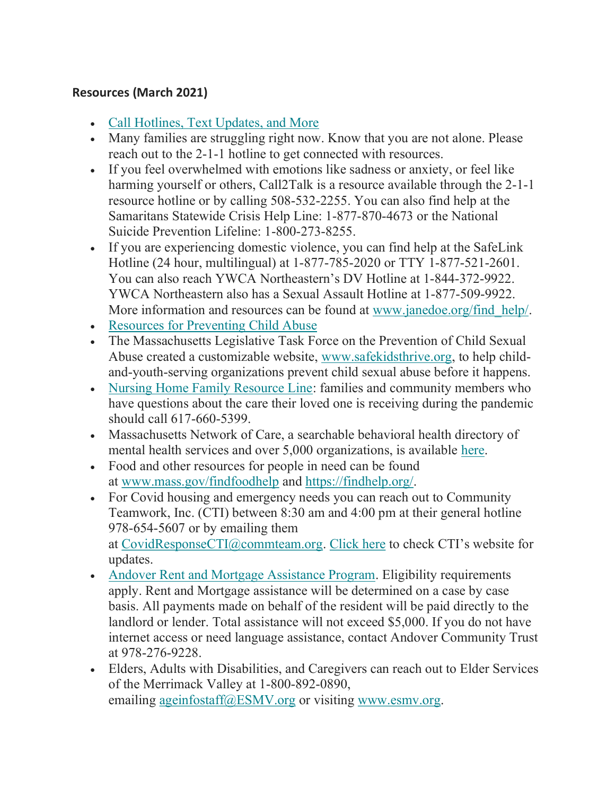## Resources (March 2021)

- Call Hotlines, Text Updates, and More
- Many families are struggling right now. Know that you are not alone. Please reach out to the 2-1-1 hotline to get connected with resources.
- If you feel overwhelmed with emotions like sadness or anxiety, or feel like harming yourself or others, Call2Talk is a resource available through the 2-1-1 resource hotline or by calling 508-532-2255. You can also find help at the Samaritans Statewide Crisis Help Line: 1-877-870-4673 or the National Suicide Prevention Lifeline: 1-800-273-8255.
- If you are experiencing domestic violence, you can find help at the SafeLink Hotline (24 hour, multilingual) at 1-877-785-2020 or TTY 1-877-521-2601. You can also reach YWCA Northeastern's DV Hotline at 1-844-372-9922. YWCA Northeastern also has a Sexual Assault Hotline at 1-877-509-9922. More information and resources can be found at www.janedoe.org/find help/.
- Resources for Preventing Child Abuse
- The Massachusetts Legislative Task Force on the Prevention of Child Sexual Abuse created a customizable website, www.safekidsthrive.org, to help childand-youth-serving organizations prevent child sexual abuse before it happens.
- Nursing Home Family Resource Line: families and community members who have questions about the care their loved one is receiving during the pandemic should call 617-660-5399.
- Massachusetts Network of Care, a searchable behavioral health directory of mental health services and over 5,000 organizations, is available here.
- Food and other resources for people in need can be found at www.mass.gov/findfoodhelp and https://findhelp.org/.
- For Covid housing and emergency needs you can reach out to Community Teamwork, Inc. (CTI) between 8:30 am and 4:00 pm at their general hotline 978-654-5607 or by emailing them at CovidResponseCTI@commteam.org. Click here to check CTI's website for updates.
- Andover Rent and Mortgage Assistance Program. Eligibility requirements apply. Rent and Mortgage assistance will be determined on a case by case basis. All payments made on behalf of the resident will be paid directly to the landlord or lender. Total assistance will not exceed \$5,000. If you do not have internet access or need language assistance, contact Andover Community Trust at 978-276-9228.
- Elders, Adults with Disabilities, and Caregivers can reach out to Elder Services of the Merrimack Valley at 1-800-892-0890, emailing ageinfostaff@ESMV.org or visiting www.esmv.org.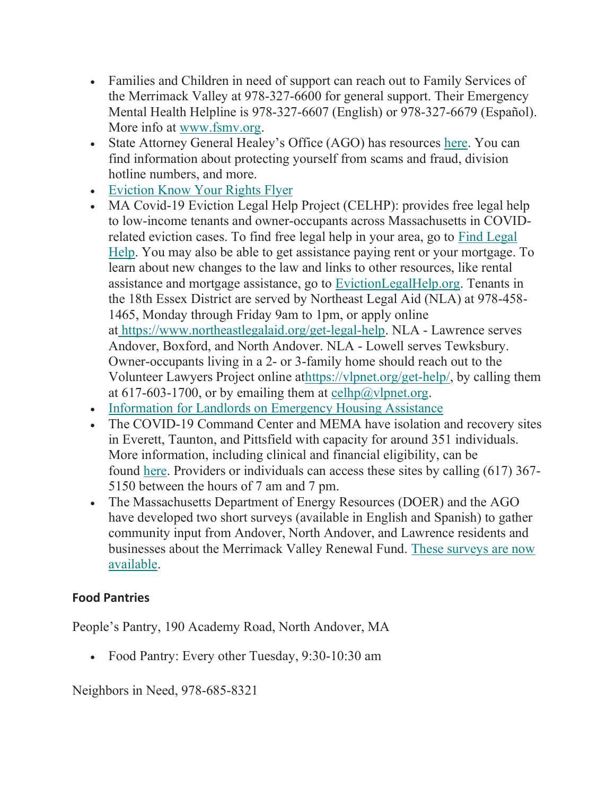- Families and Children in need of support can reach out to Family Services of the Merrimack Valley at 978-327-6600 for general support. Their Emergency Mental Health Helpline is 978-327-6607 (English) or 978-327-6679 (Español). More info at www.fsmv.org.
- State Attorney General Healey's Office (AGO) has resources here. You can find information about protecting yourself from scams and fraud, division hotline numbers, and more.
- Eviction Know Your Rights Flyer
- MA Covid-19 Eviction Legal Help Project (CELHP): provides free legal help to low-income tenants and owner-occupants across Massachusetts in COVIDrelated eviction cases. To find free legal help in your area, go to Find Legal Help. You may also be able to get assistance paying rent or your mortgage. To learn about new changes to the law and links to other resources, like rental assistance and mortgage assistance, go to EvictionLegalHelp.org. Tenants in the 18th Essex District are served by Northeast Legal Aid (NLA) at 978-458- 1465, Monday through Friday 9am to 1pm, or apply online at https://www.northeastlegalaid.org/get-legal-help. NLA - Lawrence serves Andover, Boxford, and North Andover. NLA - Lowell serves Tewksbury. Owner-occupants living in a 2- or 3-family home should reach out to the Volunteer Lawyers Project online athttps://vlpnet.org/get-help/, by calling them at 617-603-1700, or by emailing them at celhp@vlpnet.org.
- Information for Landlords on Emergency Housing Assistance
- The COVID-19 Command Center and MEMA have isolation and recovery sites in Everett, Taunton, and Pittsfield with capacity for around 351 individuals. More information, including clinical and financial eligibility, can be found here. Providers or individuals can access these sites by calling (617) 367- 5150 between the hours of 7 am and 7 pm.
- The Massachusetts Department of Energy Resources (DOER) and the AGO have developed two short surveys (available in English and Spanish) to gather community input from Andover, North Andover, and Lawrence residents and businesses about the Merrimack Valley Renewal Fund. These surveys are now available.

## Food Pantries

People's Pantry, 190 Academy Road, North Andover, MA

Food Pantry: Every other Tuesday, 9:30-10:30 am

Neighbors in Need, 978-685-8321